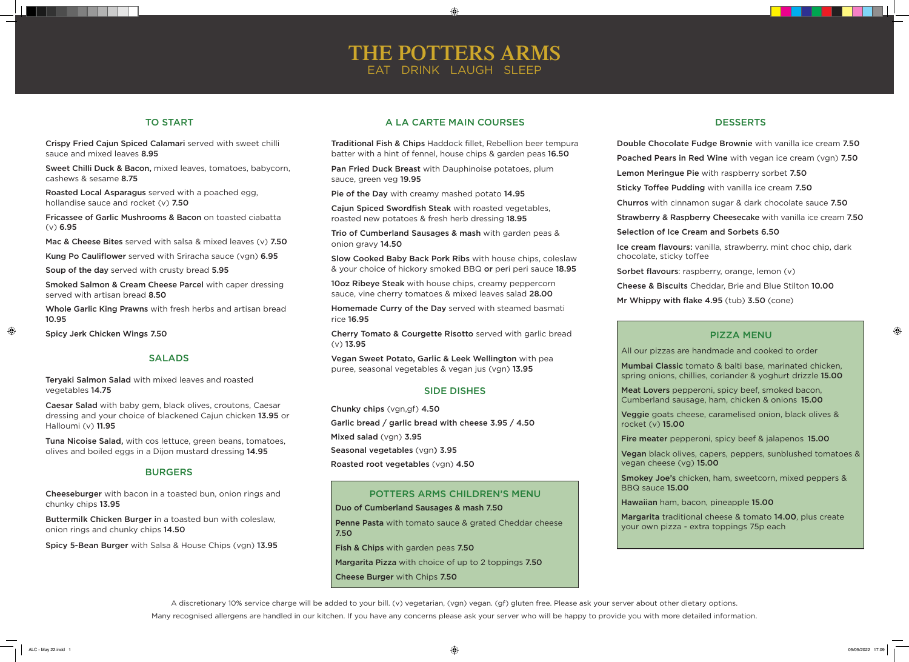### TO START

Crispy Fried Cajun Spiced Calamari served with sweet chilli sauce and mixed leaves 8.95

Sweet Chilli Duck & Bacon, mixed leaves, tomatoes, babycorn, cashews & sesame 8.75

Roasted Local Asparagus served with a poached egg, hollandise sauce and rocket (v) 7.50

Fricassee of Garlic Mushrooms & Bacon on toasted ciabatta (v) 6.95

Mac & Cheese Bites served with salsa & mixed leaves (v) 7.50

Kung Po Cauliflower served with Sriracha sauce (vgn) 6.95

Soup of the day served with crusty bread 5.95

Smoked Salmon & Cream Cheese Parcel with caper dressing served with artisan bread 8.50

Whole Garlic King Prawns with fresh herbs and artisan bread 10.95

Spicy Jerk Chicken Wings 7.50

 $\bigoplus$ 

### **SALADS**

- Double Chocolate Fudge Brownie with vanilla ice cream 7.50
- Poached Pears in Red Wine with vegan ice cream (vgn) 7.50
- Lemon Meringue Pie with raspberry sorbet 7.50
- Sticky Toffee Pudding with vanilla ice cream 7.50
- Churros with cinnamon sugar & dark chocolate sauce 7.50
- Strawberry & Raspberry Cheesecake with vanilla ice cream 7.50
- Selection of Ice Cream and Sorbets 6.50
- Ice cream flavours: vanilla, strawberry. mint choc chip, dark chocolate, sticky toffee
- Sorbet flavours: raspberry, orange, lemon (v)
- Cheese & Biscuits Cheddar, Brie and Blue Stilton 10.00
- Mr Whippy with flake 4.95 (tub) 3.50 (cone)

Pan Fried Duck Breast with Dauphinoise potatoes, plum sauce, green veg 19.95

## **THE POTTERS ARMS** EAT DRINK LAUGH SLEEP

 $\bigoplus$ 

### PIZZA MENU

All our pizzas are handmade and cooked to order

Penne Pasta with tomato sauce & grated Cheddar cheese 7.50

rocket (v) 15.00

### **DESSERTS**

- Mumbai Classic tomato & balti base, marinated chicken, spring onions, chillies, coriander & yoghurt drizzle 15.00
- Meat Lovers pepperoni, spicy beef, smoked bacon, Cumberland sausage, ham, chicken & onions 15.00
- Veggie goats cheese, caramelised onion, black olives &
- Fire meater pepperoni, spicy beef & jalapenos 15.00
- Vegan black olives, capers, peppers, sunblushed tomatoes & vegan cheese (vg) 15.00
- Smokey Joe's chicken, ham, sweetcorn, mixed peppers & BBQ sauce 15.00
- Hawaiian ham, bacon, pineapple 15.00
- Margarita traditional cheese & tomato 14.00, plus create your own pizza - extra toppings 75p each
	-
	-

 $\bigoplus$ 

Chunky chips (vgn,gf) 4.50 Garlic bread / garlic bread with cheese 3.95 / 4.50 Mixed salad (vgn) 3.95 Seasonal vegetables (vgn) 3.95 Roasted root vegetables (vgn) 4.50

### A LA CARTE MAIN COURSES

Traditional Fish & Chips Haddock fillet, Rebellion beer tempura batter with a hint of fennel, house chips & garden peas 16.50

Pie of the Day with creamy mashed potato 14.95

Cajun Spiced Swordfish Steak with roasted vegetables, roasted new potatoes & fresh herb dressing 18.95

Trio of Cumberland Sausages & mash with garden peas & onion gravy 14.50

Slow Cooked Baby Back Pork Ribs with house chips, coleslaw & your choice of hickory smoked BBQ or peri peri sauce 18.95

10oz Ribeye Steak with house chips, creamy peppercorn sauce, vine cherry tomatoes & mixed leaves salad 28.00

Homemade Curry of the Day served with steamed basmati rice 16.95

Cherry Tomato & Courgette Risotto served with garlic bread (v) 13.95

Vegan Sweet Potato, Garlic & Leek Wellington with pea puree, seasonal vegetables & vegan jus (vgn) 13.95

### SIDE DISHES

#### Duo of Cumberland Sausages & mash 7.50

Fish & Chips with garden peas 7.50

Margarita Pizza with choice of up to 2 toppings 7.50

Cheese Burger with Chips 7.50

#### POTTERS ARMS CHILDREN'S MENU

A discretionary 10% service charge will be added to your bill. (v) vegetarian, (vgn) vegan. (gf) gluten free. Please ask your server about other dietary options. Many recognised allergens are handled in our kitchen. If you have any concerns please ask your server who will be happy to provide you with more detailed information.

Teryaki Salmon Salad with mixed leaves and roasted vegetables 14.75

Caesar Salad with baby gem, black olives, croutons, Caesar dressing and your choice of blackened Cajun chicken 13.95 or Halloumi (v) 11.95

Tuna Nicoise Salad, with cos lettuce, green beans, tomatoes, olives and boiled eggs in a Dijon mustard dressing 14.95

#### **BURGERS**

Cheeseburger with bacon in a toasted bun, onion rings and chunky chips 13.95

Buttermilk Chicken Burger in a toasted bun with coleslaw, onion rings and chunky chips 14.50

Spicy 5-Bean Burger with Salsa & House Chips (vgn) 13.95